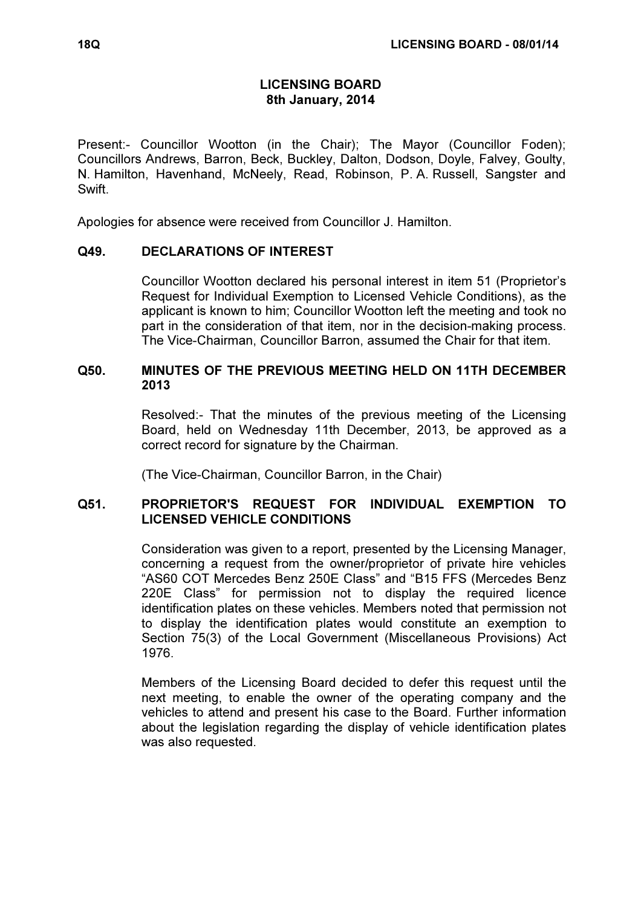# LICENSING BOARD 8th January, 2014

Present:- Councillor Wootton (in the Chair); The Mayor (Councillor Foden); Councillors Andrews, Barron, Beck, Buckley, Dalton, Dodson, Doyle, Falvey, Goulty, N. Hamilton, Havenhand, McNeely, Read, Robinson, P. A. Russell, Sangster and Swift.

Apologies for absence were received from Councillor J. Hamilton.

## Q49. DECLARATIONS OF INTEREST

 Councillor Wootton declared his personal interest in item 51 (Proprietor's Request for Individual Exemption to Licensed Vehicle Conditions), as the applicant is known to him; Councillor Wootton left the meeting and took no part in the consideration of that item, nor in the decision-making process. The Vice-Chairman, Councillor Barron, assumed the Chair for that item.

## Q50. MINUTES OF THE PREVIOUS MEETING HELD ON 11TH DECEMBER 2013

 Resolved:- That the minutes of the previous meeting of the Licensing Board, held on Wednesday 11th December, 2013, be approved as a correct record for signature by the Chairman.

(The Vice-Chairman, Councillor Barron, in the Chair)

## Q51. PROPRIETOR'S REQUEST FOR INDIVIDUAL EXEMPTION TO LICENSED VEHICLE CONDITIONS

 Consideration was given to a report, presented by the Licensing Manager, concerning a request from the owner/proprietor of private hire vehicles "AS60 COT Mercedes Benz 250E Class" and "B15 FFS (Mercedes Benz 220E Class" for permission not to display the required licence identification plates on these vehicles. Members noted that permission not to display the identification plates would constitute an exemption to Section 75(3) of the Local Government (Miscellaneous Provisions) Act 1976.

Members of the Licensing Board decided to defer this request until the next meeting, to enable the owner of the operating company and the vehicles to attend and present his case to the Board. Further information about the legislation regarding the display of vehicle identification plates was also requested.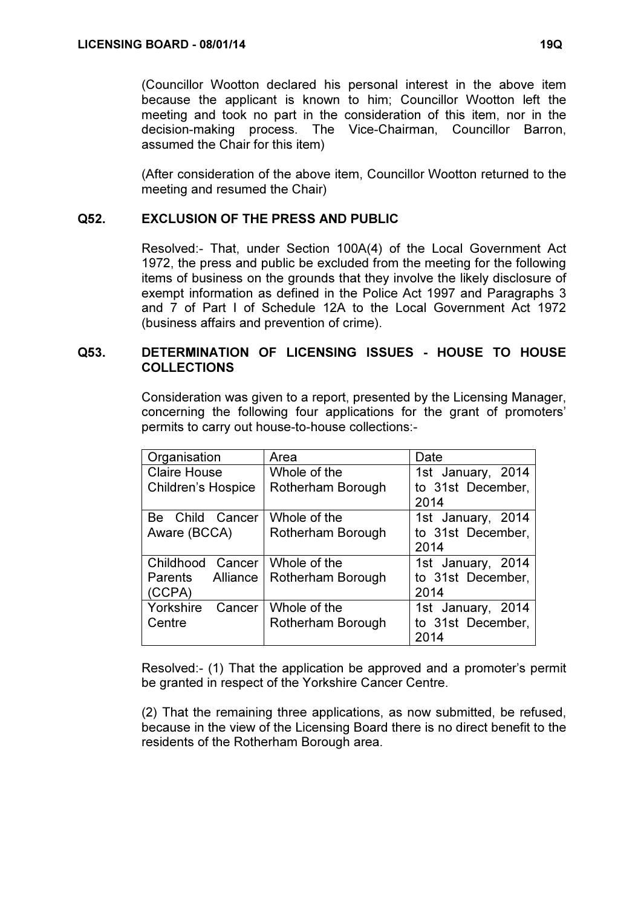(Councillor Wootton declared his personal interest in the above item because the applicant is known to him; Councillor Wootton left the meeting and took no part in the consideration of this item, nor in the decision-making process. The Vice-Chairman, Councillor Barron, assumed the Chair for this item)

(After consideration of the above item, Councillor Wootton returned to the meeting and resumed the Chair)

## Q52. EXCLUSION OF THE PRESS AND PUBLIC

 Resolved:- That, under Section 100A(4) of the Local Government Act 1972, the press and public be excluded from the meeting for the following items of business on the grounds that they involve the likely disclosure of exempt information as defined in the Police Act 1997 and Paragraphs 3 and 7 of Part I of Schedule 12A to the Local Government Act 1972 (business affairs and prevention of crime).

#### Q53. DETERMINATION OF LICENSING ISSUES - HOUSE TO HOUSE COLLECTIONS

 Consideration was given to a report, presented by the Licensing Manager, concerning the following four applications for the grant of promoters' permits to carry out house-to-house collections:-

| Organisation               | Area              | Date              |
|----------------------------|-------------------|-------------------|
| <b>Claire House</b>        | Whole of the      | 1st January, 2014 |
| <b>Children's Hospice</b>  | Rotherham Borough | to 31st December, |
|                            |                   | 2014              |
| Child Cancer<br>Be         | Whole of the      | 1st January, 2014 |
| Aware (BCCA)               | Rotherham Borough | to 31st December, |
|                            |                   | 2014              |
| Childhood<br>Cancer        | Whole of the      | 1st January, 2014 |
| Alliance<br><b>Parents</b> | Rotherham Borough | to 31st December, |
| (CCPA)                     |                   | 2014              |
| Yorkshire<br>Cancer        | Whole of the      | 1st January, 2014 |
| Centre                     | Rotherham Borough | to 31st December, |
|                            |                   | 2014              |

Resolved:- (1) That the application be approved and a promoter's permit be granted in respect of the Yorkshire Cancer Centre.

(2) That the remaining three applications, as now submitted, be refused, because in the view of the Licensing Board there is no direct benefit to the residents of the Rotherham Borough area.